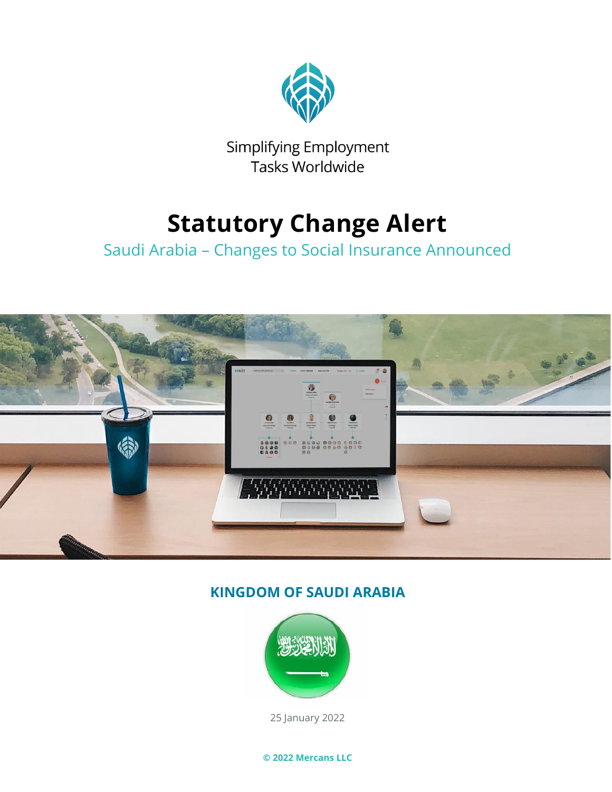

Simplifying Employment Tasks Worldwide

# **Statutory Change Alert**

## Saudi Arabia – Changes to Social Insurance Announced



### **KINGDOM OF SAUDI ARABIA**



25 January 2022

**© 2022 Mercans LLC**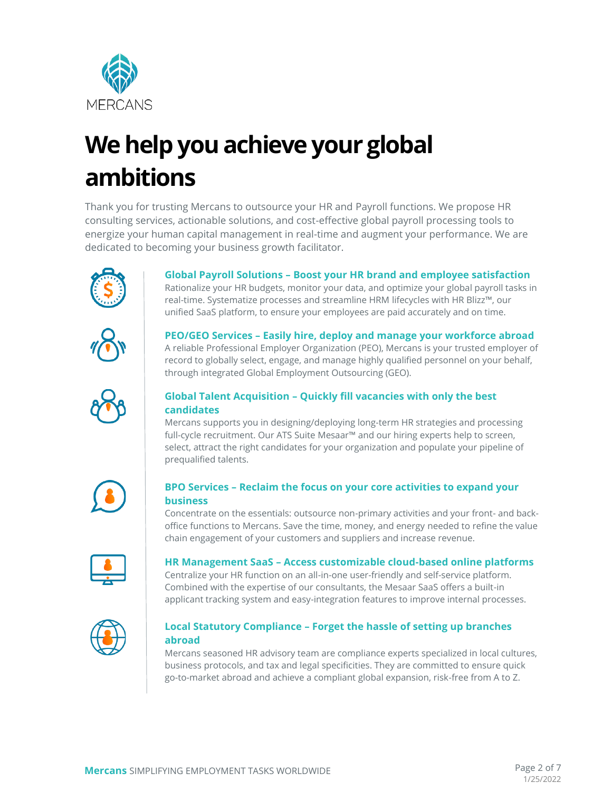

# **We help you achieve your global ambitions**

Thank you for trusting Mercans to outsource your HR and Payroll functions. We propose HR consulting services, actionable solutions, and cost-effective global payroll processing tools to energize your human capital management in real-time and augment your performance. We are dedicated to becoming your business growth facilitator.



**Global Payroll Solutions – Boost your HR brand and employee satisfaction**

Rationalize your HR budgets, monitor your data, and optimize your global payroll tasks in real-time. Systematize processes and streamline HRM lifecycles with HR Blizz™, our unified SaaS platform, to ensure your employees are paid accurately and on time.



**PEO/GEO Services – Easily hire, deploy and manage your workforce abroad** A reliable Professional Employer Organization (PEO), Mercans is your trusted employer of record to globally select, engage, and manage highly qualified personnel on your behalf, through integrated Global Employment Outsourcing (GEO).



#### **Global Talent Acquisition – Quickly fill vacancies with only the best candidates**

Mercans supports you in designing/deploying long-term HR strategies and processing full-cycle recruitment. Our ATS Suite Mesaar™ and our hiring experts help to screen, select, attract the right candidates for your organization and populate your pipeline of prequalified talents.



#### **BPO Services – Reclaim the focus on your core activities to expand your business**

Concentrate on the essentials: outsource non-primary activities and your front- and backoffice functions to Mercans. Save the time, money, and energy needed to refine the value chain engagement of your customers and suppliers and increase revenue.



#### **HR Management SaaS – Access customizable cloud-based online platforms**

Centralize your HR function on an all-in-one user-friendly and self-service platform. Combined with the expertise of our consultants, the Mesaar SaaS offers a built-in applicant tracking system and easy-integration features to improve internal processes.



#### **Local Statutory Compliance – Forget the hassle of setting up branches abroad**

Mercans seasoned HR advisory team are compliance experts specialized in local cultures, business protocols, and tax and legal specificities. They are committed to ensure quick go-to-market abroad and achieve a compliant global expansion, risk-free from A to Z.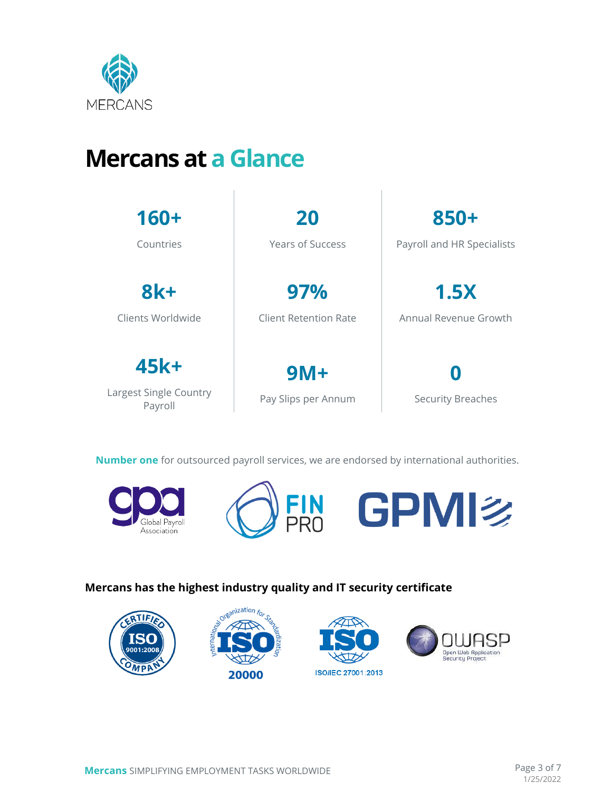

## **Mercans at a Glance**

| $160+$                                    | 20                           | 850+                       |
|-------------------------------------------|------------------------------|----------------------------|
| Countries                                 | <b>Years of Success</b>      | Payroll and HR Specialists |
| $8k +$                                    | 97%                          | 1.5X                       |
| Clients Worldwide                         | Client Retention Rate        | Annual Revenue Growth      |
| 45k+<br>Largest Single Country<br>Payroll | $9M+$<br>Pay Slips per Annum | <b>Security Breaches</b>   |

**Number one** for outsourced payroll services, we are endorsed by international authorities.





#### **Mercans has the highest industry quality and IT security certificate**

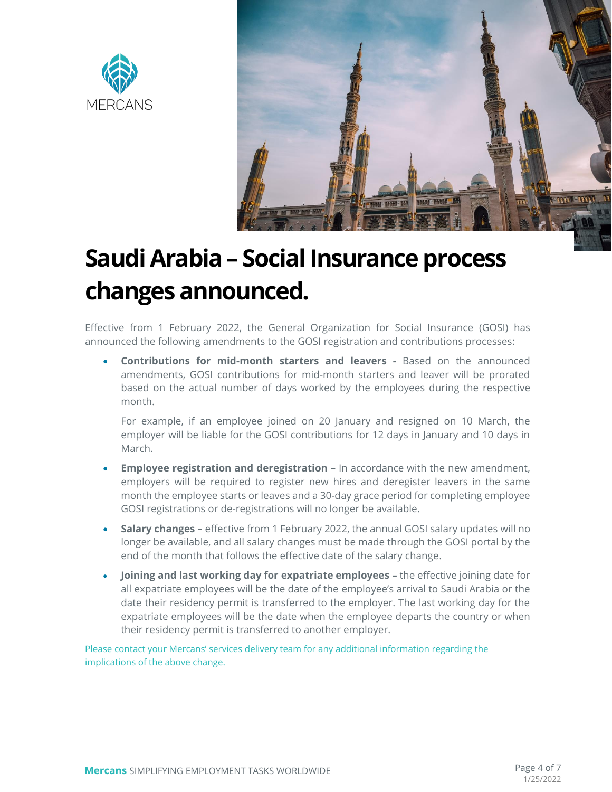



# **Saudi Arabia – Social Insurance process changes announced.**

Effective from 1 February 2022, the General Organization for Social Insurance (GOSI) has announced the following amendments to the GOSI registration and contributions processes:

• **Contributions for mid-month starters and leavers -** Based on the announced amendments, GOSI contributions for mid-month starters and leaver will be prorated based on the actual number of days worked by the employees during the respective month.

For example, if an employee joined on 20 January and resigned on 10 March, the employer will be liable for the GOSI contributions for 12 days in January and 10 days in March.

- **Employee registration and deregistration –** In accordance with the new amendment, employers will be required to register new hires and deregister leavers in the same month the employee starts or leaves and a 30-day grace period for completing employee GOSI registrations or de-registrations will no longer be available.
- **Salary changes –** effective from 1 February 2022, the annual GOSI salary updates will no longer be available, and all salary changes must be made through the GOSI portal by the end of the month that follows the effective date of the salary change.
- **Joining and last working day for expatriate employees –** the effective joining date for all expatriate employees will be the date of the employee's arrival to Saudi Arabia or the date their residency permit is transferred to the employer. The last working day for the expatriate employees will be the date when the employee departs the country or when their residency permit is transferred to another employer.

Please contact your Mercans' services delivery team for any additional information regarding the implications of the above change.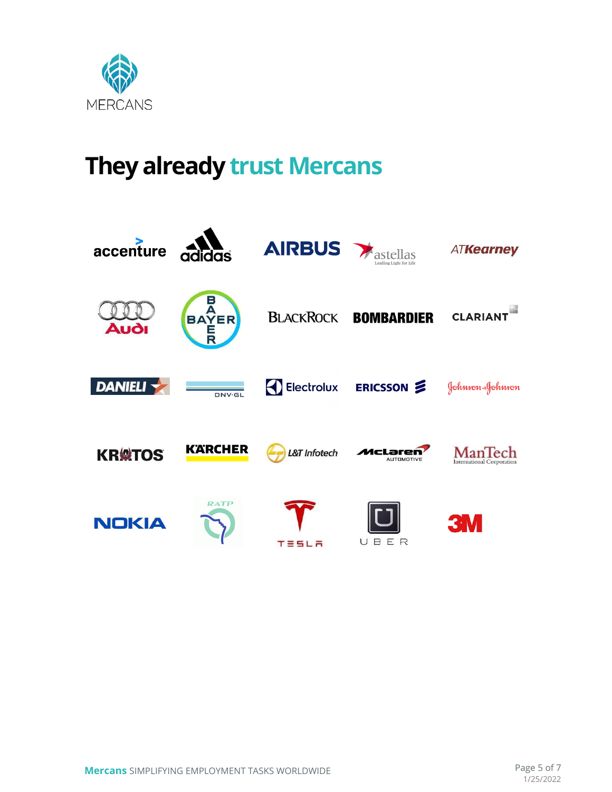

# **They already trust Mercans**

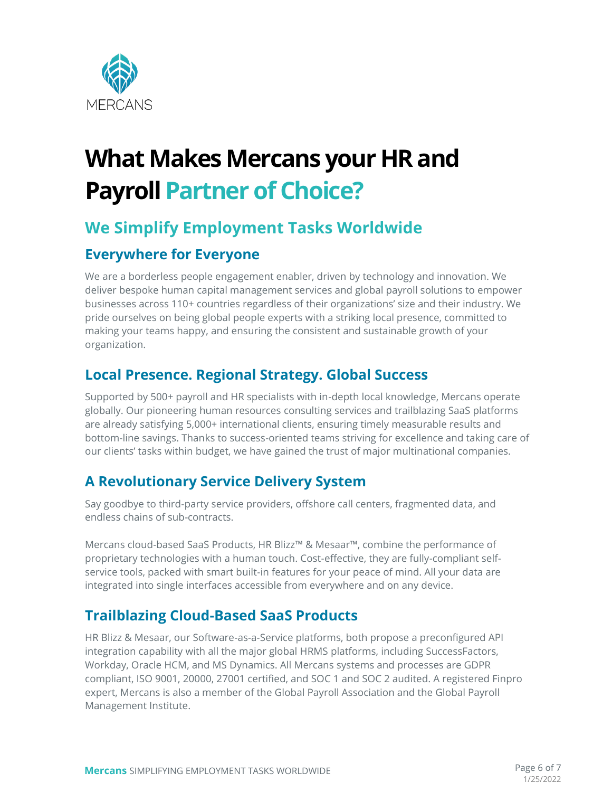

# **What Makes Mercans your HR and Payroll Partner of Choice?**

### **We Simplify Employment Tasks Worldwide**

### **Everywhere for Everyone**

We are a borderless people engagement enabler, driven by technology and innovation. We deliver bespoke human capital management services and global payroll solutions to empower businesses across 110+ countries regardless of their organizations' size and their industry. We pride ourselves on being global people experts with a striking local presence, committed to making your teams happy, and ensuring the consistent and sustainable growth of your organization.

### **Local Presence. Regional Strategy. Global Success**

Supported by 500+ payroll and HR specialists with in-depth local knowledge, Mercans operate globally. Our pioneering human resources consulting services and trailblazing SaaS platforms are already satisfying 5,000+ international clients, ensuring timely measurable results and bottom-line savings. Thanks to success-oriented teams striving for excellence and taking care of our clients' tasks within budget, we have gained the trust of major multinational companies.

### **A Revolutionary Service Delivery System**

Say goodbye to third-party service providers, offshore call centers, fragmented data, and endless chains of sub-contracts.

Mercans cloud-based SaaS Products, HR Blizz™ & Mesaar™, combine the performance of proprietary technologies with a human touch. Cost-effective, they are fully-compliant selfservice tools, packed with smart built-in features for your peace of mind. All your data are integrated into single interfaces accessible from everywhere and on any device.

### **Trailblazing Cloud-Based SaaS Products**

HR Blizz & Mesaar, our Software-as-a-Service platforms, both propose a preconfigured API integration capability with all the major global HRMS platforms, including SuccessFactors, Workday, Oracle HCM, and MS Dynamics. All Mercans systems and processes are GDPR compliant, ISO 9001, 20000, 27001 certified, and SOC 1 and SOC 2 audited. A registered Finpro expert, Mercans is also a member of the Global Payroll Association and the Global Payroll Management Institute.